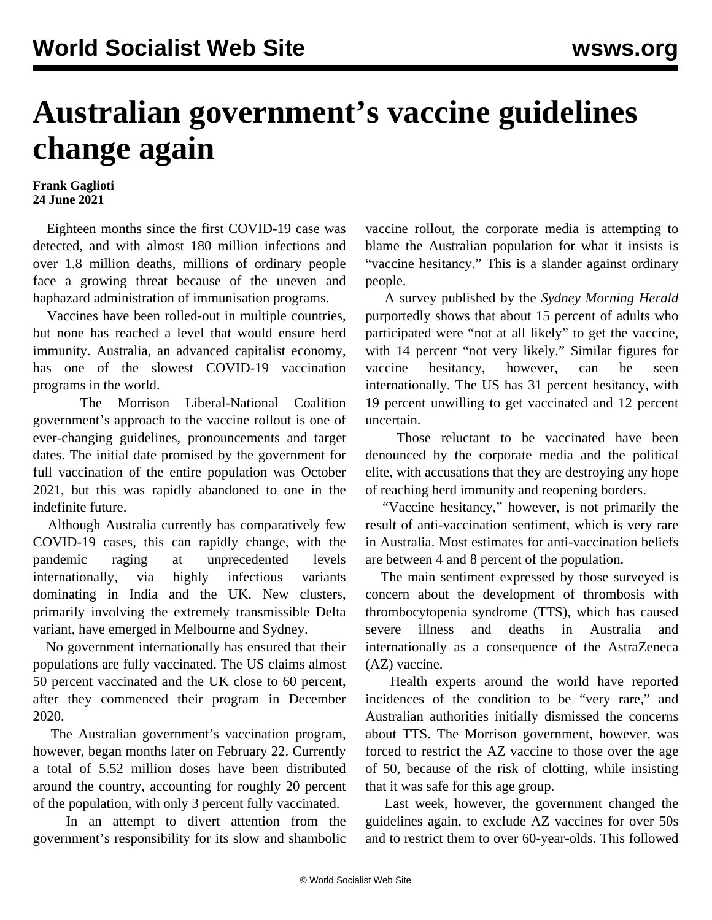## **Australian government's vaccine guidelines change again**

## **Frank Gaglioti 24 June 2021**

 Eighteen months since the first COVID-19 case was detected, and with almost 180 million infections and over 1.8 million deaths, millions of ordinary people face a growing threat because of the uneven and haphazard administration of immunisation programs.

 Vaccines have been rolled-out in multiple countries, but none has reached a level that would ensure herd immunity. Australia, an advanced capitalist economy, has one of the slowest COVID-19 vaccination programs in the world.

 The Morrison Liberal-National Coalition government's approach to the vaccine rollout is one of ever-changing guidelines, pronouncements and target dates. The initial date promised by the government for full vaccination of the entire population was October 2021, but this was rapidly abandoned to one in the indefinite future.

 Although Australia currently has comparatively few COVID-19 cases, this can rapidly change, with the pandemic raging at unprecedented levels internationally, via highly infectious variants dominating in India and the UK. New clusters, primarily involving the extremely transmissible Delta variant, have emerged in Melbourne and Sydney.

 No government internationally has ensured that their populations are fully vaccinated. The US claims almost 50 percent vaccinated and the UK close to 60 percent, after they commenced their program in December 2020.

 The Australian government's vaccination program, however, began months later on February 22. Currently a total of 5.52 million doses have been distributed around the country, accounting for roughly 20 percent of the population, with only 3 percent fully vaccinated.

 In an attempt to divert attention from the government's responsibility for its slow and shambolic vaccine rollout, the corporate media is attempting to blame the Australian population for what it insists is "vaccine hesitancy." This is a slander against ordinary people.

 A survey published by the *Sydney Morning Herald* purportedly shows that about 15 percent of adults who participated were "not at all likely" to get the vaccine, with 14 percent "not very likely." Similar figures for vaccine hesitancy, however, can be seen internationally. The US has 31 percent hesitancy, with 19 percent unwilling to get vaccinated and 12 percent uncertain.

 Those reluctant to be vaccinated have been denounced by the corporate media and the political elite, with accusations that they are destroying any hope of reaching herd immunity and reopening borders.

 "Vaccine hesitancy," however, is not primarily the result of anti-vaccination sentiment, which is very rare in Australia. Most estimates for anti-vaccination beliefs are between 4 and 8 percent of the population.

 The main sentiment expressed by those surveyed is concern about the development of thrombosis with thrombocytopenia syndrome (TTS), which has caused severe illness and deaths in Australia and internationally as a consequence of the AstraZeneca (AZ) vaccine.

 Health experts around the world have reported incidences of the condition to be "very rare," and Australian authorities initially dismissed the concerns about TTS. The Morrison government, however, was forced to restrict the AZ vaccine to those over the age of 50, because of the risk of clotting, while insisting that it was safe for this age group.

 Last week, however, the government changed the guidelines again, to exclude AZ vaccines for over 50s and to restrict them to over 60-year-olds. This followed